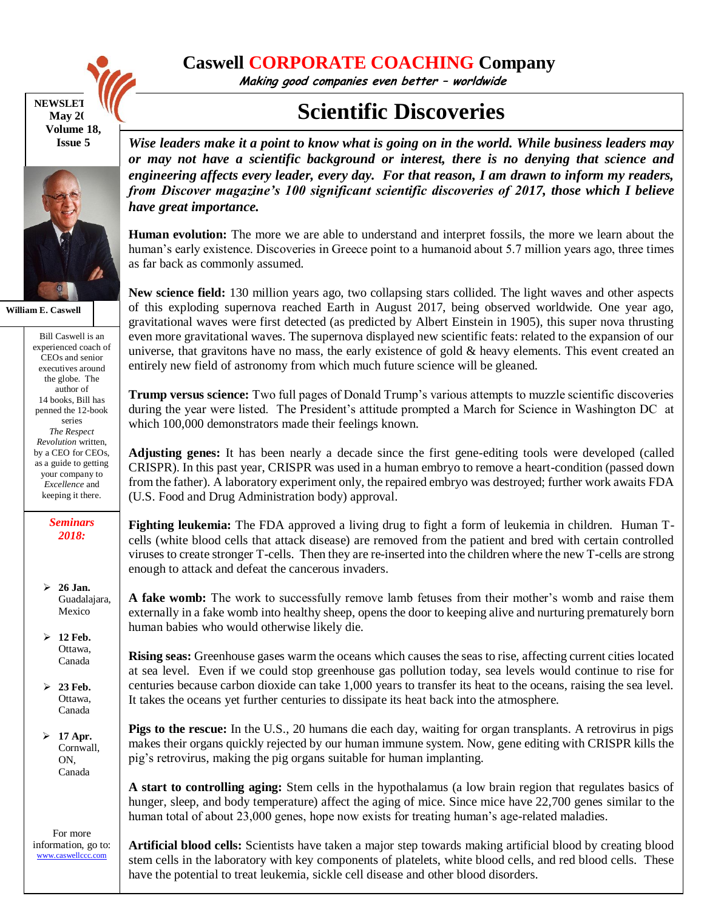

**Caswell CORPORATE COACHING Company**

**Making good companies even better – worldwide**

## **NEWSLET May** 20 **Volume 18, Issue 5**



**William E. Caswell**

Bill Caswell is an experienced coach of CEOs and senior executives around the globe. The author of 14 books, Bill has penned the 12-book series *The Respect Revolution* written, by a CEO for CEOs, as a guide to getting your company to *Excellence* and keeping it there.

> *Seminars 2018:*

 **26 Jan.** Guadalajara, Mexico

 **12 Feb.** Ottawa, Canada

 **23 Feb.** Ottawa, Canada

 **17 Apr.** Cornwall, ON, Canada

For more information, go to: [www.caswellccc.com](http://www.caswellccc.com/)

## **Scientific Discoveries**

*Wise leaders make it a point to know what is going on in the world. While business leaders may or may not have a scientific background or interest, there is no denying that science and engineering affects every leader, every day. For that reason, I am drawn to inform my readers, from Discover magazine's 100 significant scientific discoveries of 2017, those which I believe have great importance.*

**Human evolution:** The more we are able to understand and interpret fossils, the more we learn about the human's early existence. Discoveries in Greece point to a humanoid about 5.7 million years ago, three times as far back as commonly assumed.

**New science field:** 130 million years ago, two collapsing stars collided. The light waves and other aspects of this exploding supernova reached Earth in August 2017, being observed worldwide. One year ago, gravitational waves were first detected (as predicted by Albert Einstein in 1905), this super nova thrusting even more gravitational waves. The supernova displayed new scientific feats: related to the expansion of our universe, that gravitons have no mass, the early existence of gold  $\&$  heavy elements. This event created an entirely new field of astronomy from which much future science will be gleaned.

**Trump versus science:** Two full pages of Donald Trump's various attempts to muzzle scientific discoveries during the year were listed. The President's attitude prompted a March for Science in Washington DC at which 100,000 demonstrators made their feelings known.

**Adjusting genes:** It has been nearly a decade since the first gene-editing tools were developed (called CRISPR). In this past year, CRISPR was used in a human embryo to remove a heart-condition (passed down from the father). A laboratory experiment only, the repaired embryo was destroyed; further work awaits FDA (U.S. Food and Drug Administration body) approval.

**Fighting leukemia:** The FDA approved a living drug to fight a form of leukemia in children. Human Tcells (white blood cells that attack disease) are removed from the patient and bred with certain controlled viruses to create stronger T-cells. Then they are re-inserted into the children where the new T-cells are strong enough to attack and defeat the cancerous invaders.

**A fake womb:** The work to successfully remove lamb fetuses from their mother's womb and raise them externally in a fake womb into healthy sheep, opens the door to keeping alive and nurturing prematurely born human babies who would otherwise likely die.

**Rising seas:** Greenhouse gases warm the oceans which causes the seas to rise, affecting current cities located at sea level. Even if we could stop greenhouse gas pollution today, sea levels would continue to rise for centuries because carbon dioxide can take 1,000 years to transfer its heat to the oceans, raising the sea level. It takes the oceans yet further centuries to dissipate its heat back into the atmosphere.

**Pigs to the rescue:** In the U.S., 20 humans die each day, waiting for organ transplants. A retrovirus in pigs makes their organs quickly rejected by our human immune system. Now, gene editing with CRISPR kills the pig's retrovirus, making the pig organs suitable for human implanting.

**A start to controlling aging:** Stem cells in the hypothalamus (a low brain region that regulates basics of hunger, sleep, and body temperature) affect the aging of mice. Since mice have 22,700 genes similar to the human total of about 23,000 genes, hope now exists for treating human's age-related maladies.

**Artificial blood cells:** Scientists have taken a major step towards making artificial blood by creating blood stem cells in the laboratory with key components of platelets, white blood cells, and red blood cells. These have the potential to treat leukemia, sickle cell disease and other blood disorders.